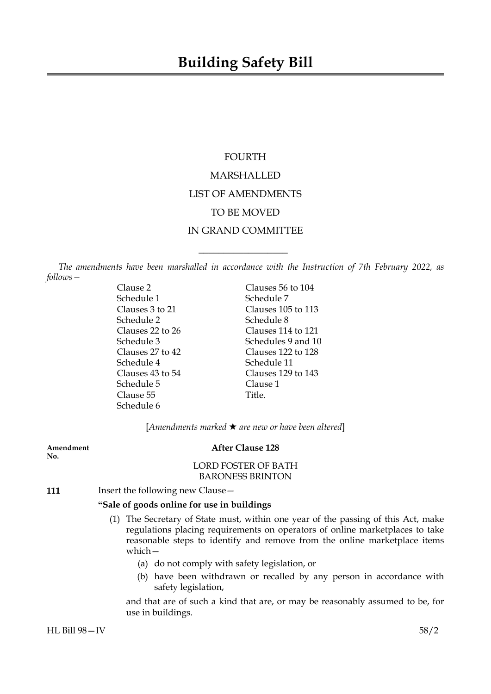# FOURTH MARSHALLED LIST OF AMENDMENTS TO BE MOVED IN GRAND COMMITTEE

*The amendments have been marshalled in accordance with the Instruction of 7th February 2022, as follows—*

 $\overline{\phantom{a}}$  , where  $\overline{\phantom{a}}$ 

Schedule 1 Schedule 7 Schedule 2 Schedule 8 Schedule 4 Schedule 11 Schedule 5 Clause 1 Clause 55 Title. Schedule 6

Clause 2 Clauses 56 to 104 Clauses 3 to 21 Clauses 105 to 113 Clauses 22 to 26 Clauses 114 to 121<br>Schedule 3 Schedules 9 and 10 Schedules 9 and 10 Clauses 27 to 42 Clauses 122 to 128 Clauses 43 to 54 Clauses 129 to 143

[*Amendments marked* \* *are new or have been altered*]

| Amendment<br>No. | <b>After Clause 128</b>                                                                                                                                                                                                                                        |
|------------------|----------------------------------------------------------------------------------------------------------------------------------------------------------------------------------------------------------------------------------------------------------------|
|                  | <b>LORD FOSTER OF BATH</b>                                                                                                                                                                                                                                     |
|                  | <b>BARONESS BRINTON</b>                                                                                                                                                                                                                                        |
| 111              | Insert the following new Clause -                                                                                                                                                                                                                              |
|                  | "Sale of goods online for use in buildings"                                                                                                                                                                                                                    |
|                  | The Secretary of State must, within one year of the passing of this Act, make<br>(1)<br>regulations placing requirements on operators of online marketplaces to take<br>reasonable steps to identify and remove from the online marketplace items<br>which $-$ |
|                  | (a) do not comply with safety legislation, or                                                                                                                                                                                                                  |
|                  | (b) have been withdrawn or recalled by any person in accordance with<br>safety legislation,                                                                                                                                                                    |
|                  | and that are of such a kind that are, or may be reasonably assumed to be, for<br>use in buildings.                                                                                                                                                             |

HL Bill 98—IV 58/2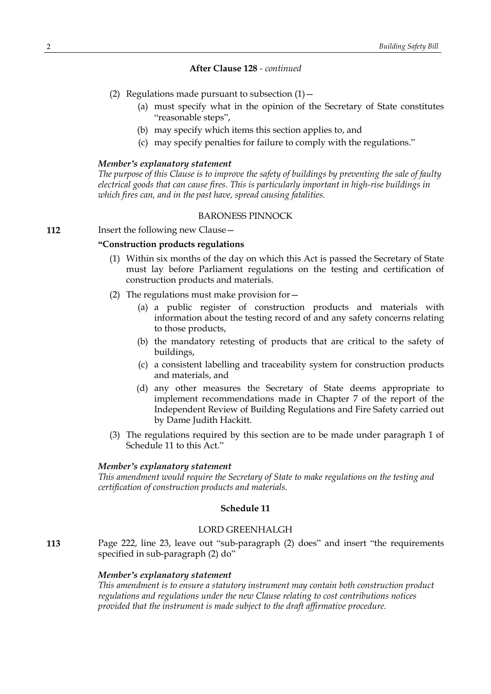- (2) Regulations made pursuant to subsection  $(1)$  -
	- (a) must specify what in the opinion of the Secretary of State constitutes "reasonable steps",
	- (b) may specify which items this section applies to, and
	- (c) may specify penalties for failure to comply with the regulations."

#### *Member's explanatory statement*

*The purpose of this Clause is to improve the safety of buildings by preventing the sale of faulty electrical goods that can cause fires. This is particularly important in high-rise buildings in which fires can, and in the past have, spread causing fatalities.*

### BARONESS PINNOCK

# **112** Insert the following new Clause -

# **"Construction products regulations**

- (1) Within six months of the day on which this Act is passed the Secretary of State must lay before Parliament regulations on the testing and certification of construction products and materials.
- (2) The regulations must make provision for—
	- (a) a public register of construction products and materials with information about the testing record of and any safety concerns relating to those products,
	- (b) the mandatory retesting of products that are critical to the safety of buildings,
	- (c) a consistent labelling and traceability system for construction products and materials, and
	- (d) any other measures the Secretary of State deems appropriate to implement recommendations made in Chapter 7 of the report of the Independent Review of Building Regulations and Fire Safety carried out by Dame Judith Hackitt.
- (3) The regulations required by this section are to be made under paragraph 1 of Schedule 11 to this Act."

#### *Member's explanatory statement*

*This amendment would require the Secretary of State to make regulations on the testing and certification of construction products and materials.*

### **Schedule 11**

### LORD GREENHALGH

**113** Page 222, line 23, leave out "sub-paragraph (2) does" and insert "the requirements specified in sub-paragraph (2) do"

#### *Member's explanatory statement*

*This amendment is to ensure a statutory instrument may contain both construction product regulations and regulations under the new Clause relating to cost contributions notices provided that the instrument is made subject to the draft affirmative procedure.*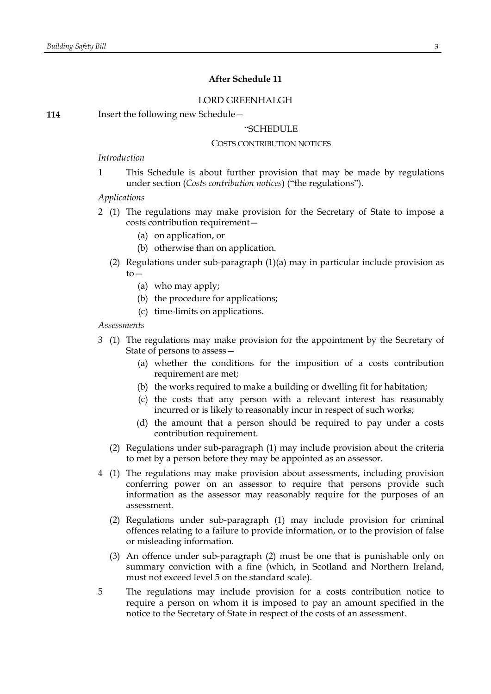# **After Schedule 11**

### LORD GREENHALGH

**114** Insert the following new Schedule —

### "SCHEDULE

### COSTS CONTRIBUTION NOTICES

### *Introduction*

1 This Schedule is about further provision that may be made by regulations under section (*Costs contribution notices*) ("the regulations").

### *Applications*

- 2 (1) The regulations may make provision for the Secretary of State to impose a costs contribution requirement—
	- (a) on application, or
	- (b) otherwise than on application.
	- (2) Regulations under sub-paragraph (1)(a) may in particular include provision as  $to-$ 
		- (a) who may apply;
		- (b) the procedure for applications;
		- (c) time-limits on applications.

#### *Assessments*

- 3 (1) The regulations may make provision for the appointment by the Secretary of State of persons to assess—
	- (a) whether the conditions for the imposition of a costs contribution requirement are met;
	- (b) the works required to make a building or dwelling fit for habitation;
	- (c) the costs that any person with a relevant interest has reasonably incurred or is likely to reasonably incur in respect of such works;
	- (d) the amount that a person should be required to pay under a costs contribution requirement.
	- (2) Regulations under sub-paragraph (1) may include provision about the criteria to met by a person before they may be appointed as an assessor.
- 4 (1) The regulations may make provision about assessments, including provision conferring power on an assessor to require that persons provide such information as the assessor may reasonably require for the purposes of an assessment.
	- (2) Regulations under sub-paragraph (1) may include provision for criminal offences relating to a failure to provide information, or to the provision of false or misleading information.
	- (3) An offence under sub-paragraph (2) must be one that is punishable only on summary conviction with a fine (which, in Scotland and Northern Ireland, must not exceed level 5 on the standard scale).
- 5 The regulations may include provision for a costs contribution notice to require a person on whom it is imposed to pay an amount specified in the notice to the Secretary of State in respect of the costs of an assessment.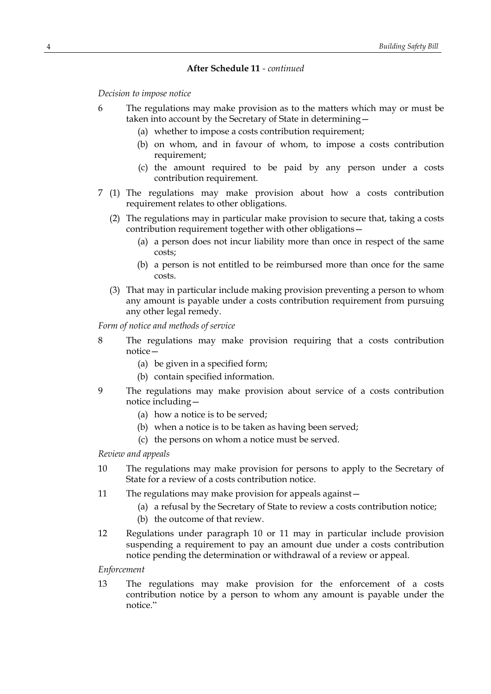*Decision to impose notice*

- 6 The regulations may make provision as to the matters which may or must be taken into account by the Secretary of State in determining—
	- (a) whether to impose a costs contribution requirement;
	- (b) on whom, and in favour of whom, to impose a costs contribution requirement;
	- (c) the amount required to be paid by any person under a costs contribution requirement.
- 7 (1) The regulations may make provision about how a costs contribution requirement relates to other obligations.
	- (2) The regulations may in particular make provision to secure that, taking a costs contribution requirement together with other obligations—
		- (a) a person does not incur liability more than once in respect of the same costs;
		- (b) a person is not entitled to be reimbursed more than once for the same costs.
	- (3) That may in particular include making provision preventing a person to whom any amount is payable under a costs contribution requirement from pursuing any other legal remedy.

*Form of notice and methods of service*

- 8 The regulations may make provision requiring that a costs contribution notice—
	- (a) be given in a specified form;
	- (b) contain specified information.
- 9 The regulations may make provision about service of a costs contribution notice including—
	- (a) how a notice is to be served;
	- (b) when a notice is to be taken as having been served;
	- (c) the persons on whom a notice must be served.

*Review and appeals*

- 10 The regulations may make provision for persons to apply to the Secretary of State for a review of a costs contribution notice.
- 11 The regulations may make provision for appeals against—
	- (a) a refusal by the Secretary of State to review a costs contribution notice;
	- (b) the outcome of that review.
- 12 Regulations under paragraph 10 or 11 may in particular include provision suspending a requirement to pay an amount due under a costs contribution notice pending the determination or withdrawal of a review or appeal.

*Enforcement*

13 The regulations may make provision for the enforcement of a costs contribution notice by a person to whom any amount is payable under the notice."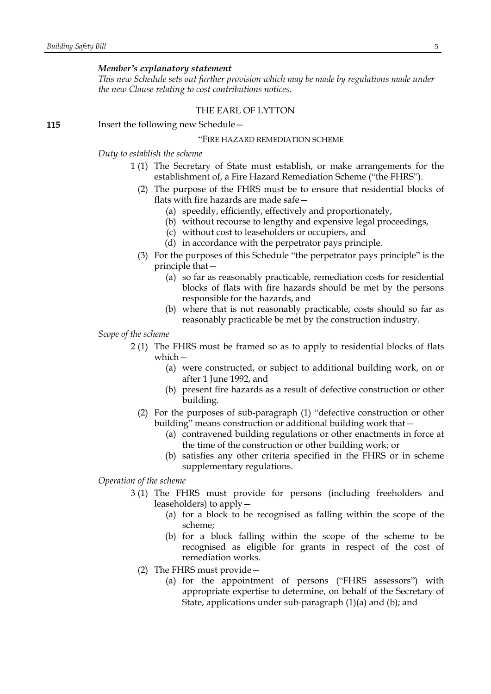#### *Member's explanatory statement*

*This new Schedule sets out further provision which may be made by regulations made under the new Clause relating to cost contributions notices.*

#### THE EARL OF LYTTON

**115** Insert the following new Schedule—

#### "FIRE HAZARD REMEDIATION SCHEME

*Duty to establish the scheme*

- 1 (1) The Secretary of State must establish, or make arrangements for the establishment of, a Fire Hazard Remediation Scheme ("the FHRS").
	- (2) The purpose of the FHRS must be to ensure that residential blocks of flats with fire hazards are made safe—
		- (a) speedily, efficiently, effectively and proportionately,
		- (b) without recourse to lengthy and expensive legal proceedings,
		- (c) without cost to leaseholders or occupiers, and
		- (d) in accordance with the perpetrator pays principle.
	- (3) For the purposes of this Schedule "the perpetrator pays principle" is the principle that—
		- (a) so far as reasonably practicable, remediation costs for residential blocks of flats with fire hazards should be met by the persons responsible for the hazards, and
		- (b) where that is not reasonably practicable, costs should so far as reasonably practicable be met by the construction industry.

### *Scope of the scheme*

- 2 (1) The FHRS must be framed so as to apply to residential blocks of flats which—
	- (a) were constructed, or subject to additional building work, on or after 1 June 1992, and
	- (b) present fire hazards as a result of defective construction or other building.
	- (2) For the purposes of sub-paragraph (1) "defective construction or other building" means construction or additional building work that—
		- (a) contravened building regulations or other enactments in force at the time of the construction or other building work; or
		- (b) satisfies any other criteria specified in the FHRS or in scheme supplementary regulations.

### *Operation of the scheme*

- 3 (1) The FHRS must provide for persons (including freeholders and leaseholders) to apply—
	- (a) for a block to be recognised as falling within the scope of the scheme;
	- (b) for a block falling within the scope of the scheme to be recognised as eligible for grants in respect of the cost of remediation works.
	- (2) The FHRS must provide—
		- (a) for the appointment of persons ("FHRS assessors") with appropriate expertise to determine, on behalf of the Secretary of State, applications under sub-paragraph (1)(a) and (b); and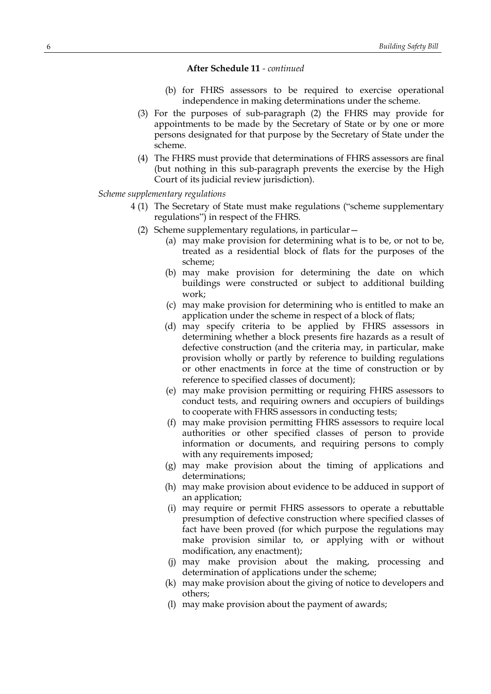- (b) for FHRS assessors to be required to exercise operational independence in making determinations under the scheme.
- (3) For the purposes of sub-paragraph (2) the FHRS may provide for appointments to be made by the Secretary of State or by one or more persons designated for that purpose by the Secretary of State under the scheme.
- (4) The FHRS must provide that determinations of FHRS assessors are final (but nothing in this sub-paragraph prevents the exercise by the High Court of its judicial review jurisdiction).

#### *Scheme supplementary regulations*

- 4 (1) The Secretary of State must make regulations ("scheme supplementary regulations") in respect of the FHRS.
	- (2) Scheme supplementary regulations, in particular—
		- (a) may make provision for determining what is to be, or not to be, treated as a residential block of flats for the purposes of the scheme;
		- (b) may make provision for determining the date on which buildings were constructed or subject to additional building work;
		- (c) may make provision for determining who is entitled to make an application under the scheme in respect of a block of flats;
		- (d) may specify criteria to be applied by FHRS assessors in determining whether a block presents fire hazards as a result of defective construction (and the criteria may, in particular, make provision wholly or partly by reference to building regulations or other enactments in force at the time of construction or by reference to specified classes of document);
		- (e) may make provision permitting or requiring FHRS assessors to conduct tests, and requiring owners and occupiers of buildings to cooperate with FHRS assessors in conducting tests;
		- (f) may make provision permitting FHRS assessors to require local authorities or other specified classes of person to provide information or documents, and requiring persons to comply with any requirements imposed;
		- (g) may make provision about the timing of applications and determinations;
		- (h) may make provision about evidence to be adduced in support of an application;
		- (i) may require or permit FHRS assessors to operate a rebuttable presumption of defective construction where specified classes of fact have been proved (for which purpose the regulations may make provision similar to, or applying with or without modification, any enactment);
		- (j) may make provision about the making, processing and determination of applications under the scheme;
		- (k) may make provision about the giving of notice to developers and others;
		- (l) may make provision about the payment of awards;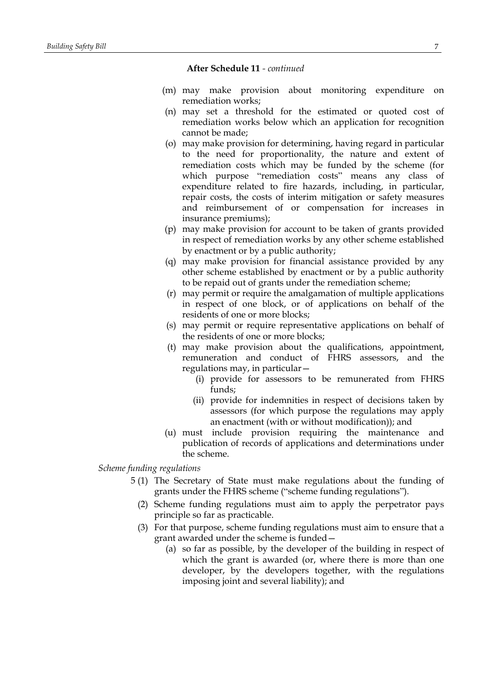- (m) may make provision about monitoring expenditure on remediation works;
- (n) may set a threshold for the estimated or quoted cost of remediation works below which an application for recognition cannot be made;
- (o) may make provision for determining, having regard in particular to the need for proportionality, the nature and extent of remediation costs which may be funded by the scheme (for which purpose "remediation costs" means any class of expenditure related to fire hazards, including, in particular, repair costs, the costs of interim mitigation or safety measures and reimbursement of or compensation for increases in insurance premiums);
- (p) may make provision for account to be taken of grants provided in respect of remediation works by any other scheme established by enactment or by a public authority;
- (q) may make provision for financial assistance provided by any other scheme established by enactment or by a public authority to be repaid out of grants under the remediation scheme;
- (r) may permit or require the amalgamation of multiple applications in respect of one block, or of applications on behalf of the residents of one or more blocks;
- (s) may permit or require representative applications on behalf of the residents of one or more blocks;
- (t) may make provision about the qualifications, appointment, remuneration and conduct of FHRS assessors, and the regulations may, in particular—
	- (i) provide for assessors to be remunerated from FHRS funds;
	- (ii) provide for indemnities in respect of decisions taken by assessors (for which purpose the regulations may apply an enactment (with or without modification)); and
- (u) must include provision requiring the maintenance and publication of records of applications and determinations under the scheme.

# *Scheme funding regulations*

- 5 (1) The Secretary of State must make regulations about the funding of grants under the FHRS scheme ("scheme funding regulations").
	- (2) Scheme funding regulations must aim to apply the perpetrator pays principle so far as practicable.
	- (3) For that purpose, scheme funding regulations must aim to ensure that a grant awarded under the scheme is funded—
		- (a) so far as possible, by the developer of the building in respect of which the grant is awarded (or, where there is more than one developer, by the developers together, with the regulations imposing joint and several liability); and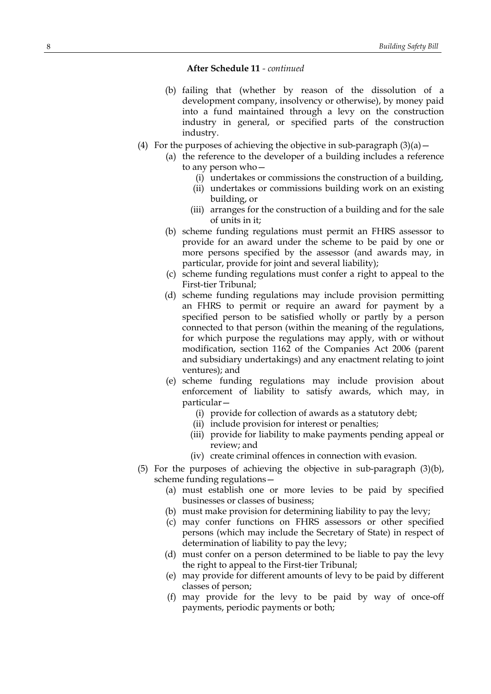- (b) failing that (whether by reason of the dissolution of a development company, insolvency or otherwise), by money paid into a fund maintained through a levy on the construction industry in general, or specified parts of the construction industry.
- (4) For the purposes of achieving the objective in sub-paragraph  $(3)(a)$ 
	- (a) the reference to the developer of a building includes a reference to any person who—
		- (i) undertakes or commissions the construction of a building,
		- (ii) undertakes or commissions building work on an existing building, or
		- (iii) arranges for the construction of a building and for the sale of units in it;
	- (b) scheme funding regulations must permit an FHRS assessor to provide for an award under the scheme to be paid by one or more persons specified by the assessor (and awards may, in particular, provide for joint and several liability);
	- (c) scheme funding regulations must confer a right to appeal to the First-tier Tribunal;
	- (d) scheme funding regulations may include provision permitting an FHRS to permit or require an award for payment by a specified person to be satisfied wholly or partly by a person connected to that person (within the meaning of the regulations, for which purpose the regulations may apply, with or without modification, section 1162 of the Companies Act 2006 (parent and subsidiary undertakings) and any enactment relating to joint ventures); and
	- (e) scheme funding regulations may include provision about enforcement of liability to satisfy awards, which may, in particular—
		- (i) provide for collection of awards as a statutory debt;
		- (ii) include provision for interest or penalties;
		- (iii) provide for liability to make payments pending appeal or review; and
		- (iv) create criminal offences in connection with evasion.
- (5) For the purposes of achieving the objective in sub-paragraph (3)(b), scheme funding regulations—
	- (a) must establish one or more levies to be paid by specified businesses or classes of business;
	- (b) must make provision for determining liability to pay the levy;
	- (c) may confer functions on FHRS assessors or other specified persons (which may include the Secretary of State) in respect of determination of liability to pay the levy;
	- (d) must confer on a person determined to be liable to pay the levy the right to appeal to the First-tier Tribunal;
	- (e) may provide for different amounts of levy to be paid by different classes of person;
	- (f) may provide for the levy to be paid by way of once-off payments, periodic payments or both;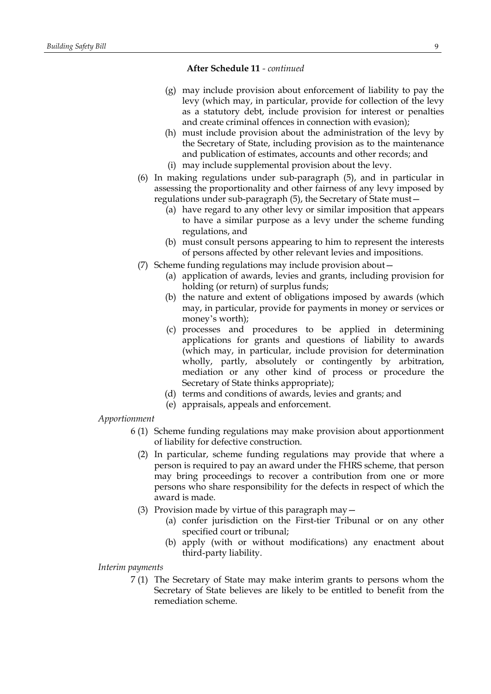- (g) may include provision about enforcement of liability to pay the levy (which may, in particular, provide for collection of the levy as a statutory debt, include provision for interest or penalties and create criminal offences in connection with evasion);
- (h) must include provision about the administration of the levy by the Secretary of State, including provision as to the maintenance and publication of estimates, accounts and other records; and
- (i) may include supplemental provision about the levy.
- (6) In making regulations under sub-paragraph (5), and in particular in assessing the proportionality and other fairness of any levy imposed by regulations under sub-paragraph (5), the Secretary of State must—
	- (a) have regard to any other levy or similar imposition that appears to have a similar purpose as a levy under the scheme funding regulations, and
	- (b) must consult persons appearing to him to represent the interests of persons affected by other relevant levies and impositions.
- (7) Scheme funding regulations may include provision about—
	- (a) application of awards, levies and grants, including provision for holding (or return) of surplus funds;
	- (b) the nature and extent of obligations imposed by awards (which may, in particular, provide for payments in money or services or money's worth);
	- (c) processes and procedures to be applied in determining applications for grants and questions of liability to awards (which may, in particular, include provision for determination wholly, partly, absolutely or contingently by arbitration, mediation or any other kind of process or procedure the Secretary of State thinks appropriate);
	- (d) terms and conditions of awards, levies and grants; and
	- (e) appraisals, appeals and enforcement.

# *Apportionment*

- 6 (1) Scheme funding regulations may make provision about apportionment of liability for defective construction.
	- (2) In particular, scheme funding regulations may provide that where a person is required to pay an award under the FHRS scheme, that person may bring proceedings to recover a contribution from one or more persons who share responsibility for the defects in respect of which the award is made.
	- (3) Provision made by virtue of this paragraph may—
		- (a) confer jurisdiction on the First-tier Tribunal or on any other specified court or tribunal;
		- (b) apply (with or without modifications) any enactment about third-party liability.

### *Interim payments*

7 (1) The Secretary of State may make interim grants to persons whom the Secretary of State believes are likely to be entitled to benefit from the remediation scheme.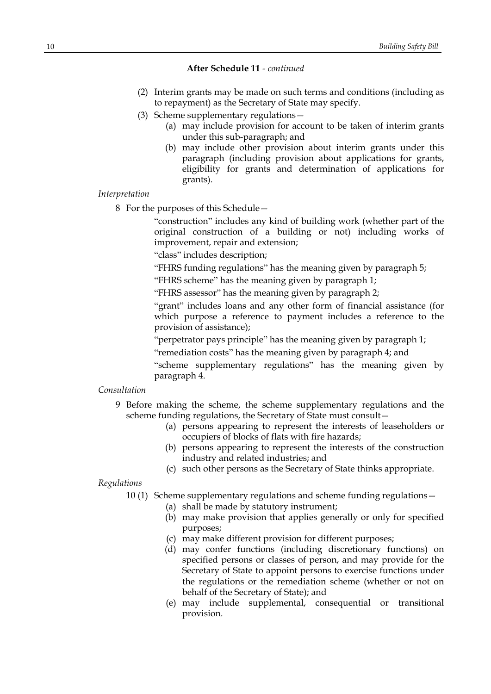- (2) Interim grants may be made on such terms and conditions (including as to repayment) as the Secretary of State may specify.
- (3) Scheme supplementary regulations—
	- (a) may include provision for account to be taken of interim grants under this sub-paragraph; and
	- (b) may include other provision about interim grants under this paragraph (including provision about applications for grants, eligibility for grants and determination of applications for grants).

#### *Interpretation*

8 For the purposes of this Schedule—

"construction" includes any kind of building work (whether part of the original construction of a building or not) including works of improvement, repair and extension;

"class" includes description;

"FHRS funding regulations" has the meaning given by paragraph 5;

"FHRS scheme" has the meaning given by paragraph 1;

"FHRS assessor" has the meaning given by paragraph 2;

"grant" includes loans and any other form of financial assistance (for which purpose a reference to payment includes a reference to the provision of assistance);

"perpetrator pays principle" has the meaning given by paragraph 1;

"remediation costs" has the meaning given by paragraph 4; and

"scheme supplementary regulations" has the meaning given by paragraph 4.

#### *Consultation*

- 9 Before making the scheme, the scheme supplementary regulations and the scheme funding regulations, the Secretary of State must consult—
	- (a) persons appearing to represent the interests of leaseholders or occupiers of blocks of flats with fire hazards;
	- (b) persons appearing to represent the interests of the construction industry and related industries; and
	- (c) such other persons as the Secretary of State thinks appropriate.

#### *Regulations*

10 (1) Scheme supplementary regulations and scheme funding regulations—

- (a) shall be made by statutory instrument;
- (b) may make provision that applies generally or only for specified purposes;
- (c) may make different provision for different purposes;
- (d) may confer functions (including discretionary functions) on specified persons or classes of person, and may provide for the Secretary of State to appoint persons to exercise functions under the regulations or the remediation scheme (whether or not on behalf of the Secretary of State); and
- (e) may include supplemental, consequential or transitional provision.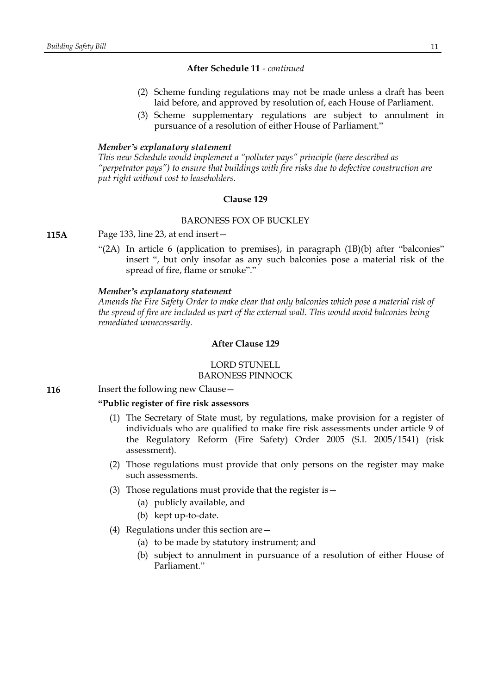- (2) Scheme funding regulations may not be made unless a draft has been laid before, and approved by resolution of, each House of Parliament.
- (3) Scheme supplementary regulations are subject to annulment in pursuance of a resolution of either House of Parliament."

#### *Member's explanatory statement*

*This new Schedule would implement a "polluter pays" principle (here described as "perpetrator pays") to ensure that buildings with fire risks due to defective construction are put right without cost to leaseholders.*

#### **Clause 129**

### BARONESS FOX OF BUCKLEY

**115A** Page 133, line 23, at end insert—

"(2A) In article 6 (application to premises), in paragraph (1B)(b) after "balconies" insert ", but only insofar as any such balconies pose a material risk of the spread of fire, flame or smoke"."

#### *Member's explanatory statement*

*Amends the Fire Safety Order to make clear that only balconies which pose a material risk of the spread of fire are included as part of the external wall. This would avoid balconies being remediated unnecessarily.*

# **After Clause 129**

LORD STUNELL BARONESS PINNOCK

**116** Insert the following new Clause -

#### **"Public register of fire risk assessors**

- (1) The Secretary of State must, by regulations, make provision for a register of individuals who are qualified to make fire risk assessments under article 9 of the Regulatory Reform (Fire Safety) Order 2005 (S.I. 2005/1541) (risk assessment).
- (2) Those regulations must provide that only persons on the register may make such assessments.
- (3) Those regulations must provide that the register is—
	- (a) publicly available, and
	- (b) kept up-to-date.
- (4) Regulations under this section are—
	- (a) to be made by statutory instrument; and
	- (b) subject to annulment in pursuance of a resolution of either House of Parliament<sup>"</sup>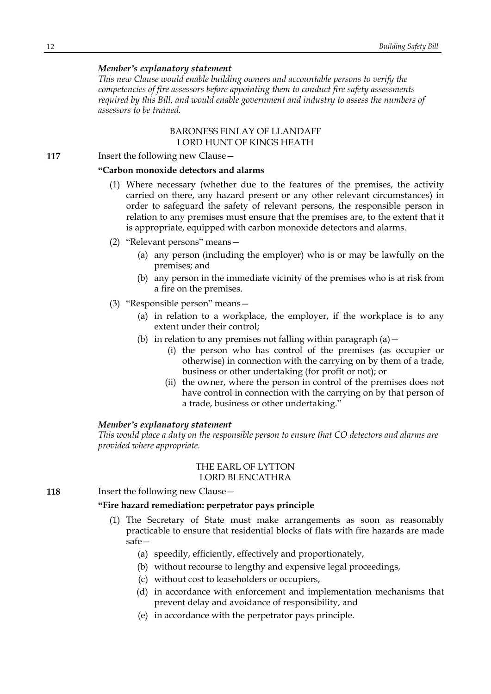# *Member's explanatory statement*

*This new Clause would enable building owners and accountable persons to verify the competencies of fire assessors before appointing them to conduct fire safety assessments required by this Bill, and would enable government and industry to assess the numbers of assessors to be trained.*

### BARONESS FINLAY OF LLANDAFF LORD HUNT OF KINGS HEATH

**117** Insert the following new Clause -

### **"Carbon monoxide detectors and alarms**

- (1) Where necessary (whether due to the features of the premises, the activity carried on there, any hazard present or any other relevant circumstances) in order to safeguard the safety of relevant persons, the responsible person in relation to any premises must ensure that the premises are, to the extent that it is appropriate, equipped with carbon monoxide detectors and alarms.
- (2) "Relevant persons" means—
	- (a) any person (including the employer) who is or may be lawfully on the premises; and
	- (b) any person in the immediate vicinity of the premises who is at risk from a fire on the premises.
- (3) "Responsible person" means—
	- (a) in relation to a workplace, the employer, if the workplace is to any extent under their control;
	- (b) in relation to any premises not falling within paragraph  $(a)$  -
		- (i) the person who has control of the premises (as occupier or otherwise) in connection with the carrying on by them of a trade, business or other undertaking (for profit or not); or
		- (ii) the owner, where the person in control of the premises does not have control in connection with the carrying on by that person of a trade, business or other undertaking."

#### *Member's explanatory statement*

*This would place a duty on the responsible person to ensure that CO detectors and alarms are provided where appropriate.*

### THE EARL OF LYTTON LORD BLENCATHRA

**118** Insert the following new Clause -

### **"Fire hazard remediation: perpetrator pays principle**

- (1) The Secretary of State must make arrangements as soon as reasonably practicable to ensure that residential blocks of flats with fire hazards are made safe—
	- (a) speedily, efficiently, effectively and proportionately,
	- (b) without recourse to lengthy and expensive legal proceedings,
	- (c) without cost to leaseholders or occupiers,
	- (d) in accordance with enforcement and implementation mechanisms that prevent delay and avoidance of responsibility, and
	- (e) in accordance with the perpetrator pays principle.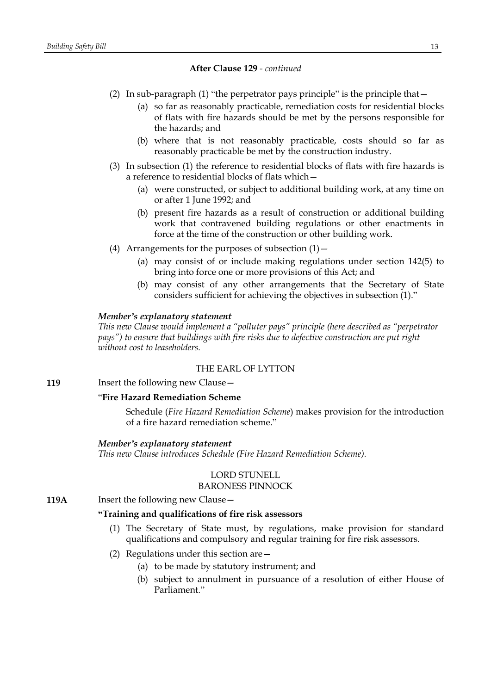- (2) In sub-paragraph (1) "the perpetrator pays principle" is the principle that—
	- (a) so far as reasonably practicable, remediation costs for residential blocks of flats with fire hazards should be met by the persons responsible for the hazards; and
	- (b) where that is not reasonably practicable, costs should so far as reasonably practicable be met by the construction industry.
- (3) In subsection (1) the reference to residential blocks of flats with fire hazards is a reference to residential blocks of flats which—
	- (a) were constructed, or subject to additional building work, at any time on or after 1 June 1992; and
	- (b) present fire hazards as a result of construction or additional building work that contravened building regulations or other enactments in force at the time of the construction or other building work.
- (4) Arrangements for the purposes of subsection  $(1)$  -
	- (a) may consist of or include making regulations under section 142(5) to bring into force one or more provisions of this Act; and
	- (b) may consist of any other arrangements that the Secretary of State considers sufficient for achieving the objectives in subsection (1)."

### *Member's explanatory statement*

*This new Clause would implement a "polluter pays" principle (here described as "perpetrator pays") to ensure that buildings with fire risks due to defective construction are put right without cost to leaseholders.*

# THE EARL OF LYTTON

**119** Insert the following new Clause -

#### "**Fire Hazard Remediation Scheme**

Schedule (*Fire Hazard Remediation Scheme*) makes provision for the introduction of a fire hazard remediation scheme."

#### *Member's explanatory statement*

*This new Clause introduces Schedule (Fire Hazard Remediation Scheme).*

### LORD STUNELL BARONESS PINNOCK

**119A** Insert the following new Clause -

### **"Training and qualifications of fire risk assessors**

- (1) The Secretary of State must, by regulations, make provision for standard qualifications and compulsory and regular training for fire risk assessors.
- (2) Regulations under this section are—
	- (a) to be made by statutory instrument; and
	- (b) subject to annulment in pursuance of a resolution of either House of Parliament."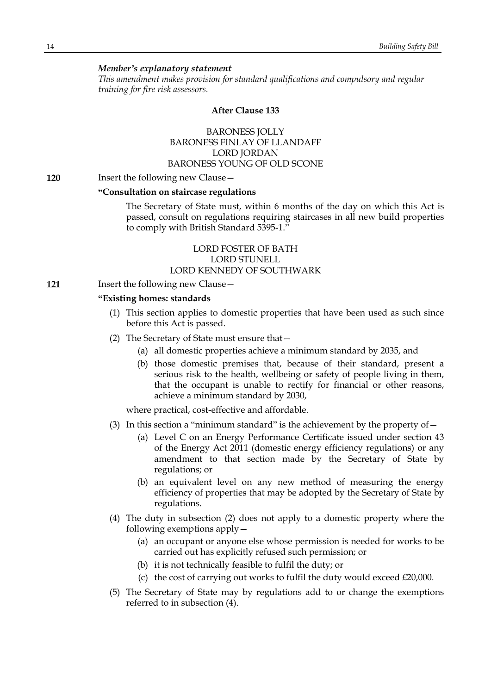### *Member's explanatory statement*

*This amendment makes provision for standard qualifications and compulsory and regular training for fire risk assessors.*

#### **After Clause 133**

# BARONESS JOLLY BARONESS FINLAY OF LLANDAFF LORD JORDAN BARONESS YOUNG OF OLD SCONE

#### **120** Insert the following new Clause—

#### **"Consultation on staircase regulations**

The Secretary of State must, within 6 months of the day on which this Act is passed, consult on regulations requiring staircases in all new build properties to comply with British Standard 5395-1."

# LORD FOSTER OF BATH LORD STUNELL LORD KENNEDY OF SOUTHWARK

**121** Insert the following new Clause—

### **"Existing homes: standards**

- (1) This section applies to domestic properties that have been used as such since before this Act is passed.
- (2) The Secretary of State must ensure that—
	- (a) all domestic properties achieve a minimum standard by 2035, and
	- (b) those domestic premises that, because of their standard, present a serious risk to the health, wellbeing or safety of people living in them, that the occupant is unable to rectify for financial or other reasons, achieve a minimum standard by 2030,

where practical, cost-effective and affordable.

- (3) In this section a "minimum standard" is the achievement by the property of  $-$ 
	- (a) Level C on an Energy Performance Certificate issued under section 43 of the Energy Act 2011 (domestic energy efficiency regulations) or any amendment to that section made by the Secretary of State by regulations; or
	- (b) an equivalent level on any new method of measuring the energy efficiency of properties that may be adopted by the Secretary of State by regulations.
- (4) The duty in subsection (2) does not apply to a domestic property where the following exemptions apply—
	- (a) an occupant or anyone else whose permission is needed for works to be carried out has explicitly refused such permission; or
	- (b) it is not technically feasible to fulfil the duty; or
	- (c) the cost of carrying out works to fulfil the duty would exceed £20,000.
- (5) The Secretary of State may by regulations add to or change the exemptions referred to in subsection (4).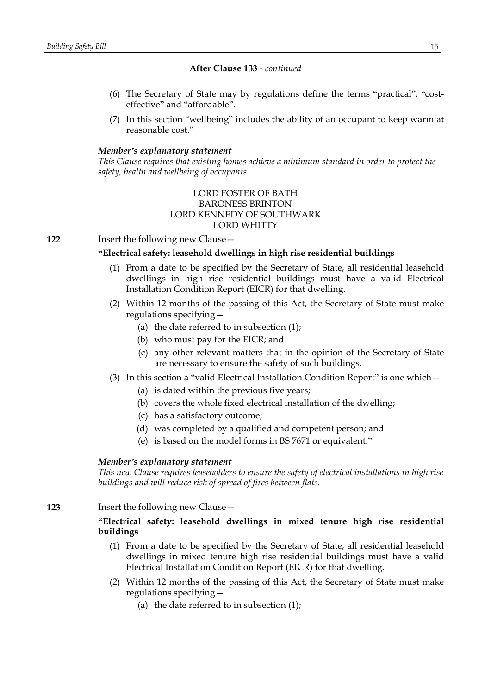- (6) The Secretary of State may by regulations define the terms "practical", "costeffective" and "affordable".
- (7) In this section "wellbeing" includes the ability of an occupant to keep warm at reasonable cost."

### *Member's explanatory statement*

*This Clause requires that existing homes achieve a minimum standard in order to protect the safety, health and wellbeing of occupants.*

# LORD FOSTER OF BATH BARONESS BRINTON LORD KENNEDY OF SOUTHWARK LORD WHITTY

**122** Insert the following new Clause—

# **"Electrical safety: leasehold dwellings in high rise residential buildings**

- (1) From a date to be specified by the Secretary of State, all residential leasehold dwellings in high rise residential buildings must have a valid Electrical Installation Condition Report (EICR) for that dwelling.
- (2) Within 12 months of the passing of this Act, the Secretary of State must make regulations specifying—
	- (a) the date referred to in subsection  $(1)$ ;
	- (b) who must pay for the EICR; and
	- (c) any other relevant matters that in the opinion of the Secretary of State are necessary to ensure the safety of such buildings.
- (3) In this section a "valid Electrical Installation Condition Report" is one which—
	- (a) is dated within the previous five years;
	- (b) covers the whole fixed electrical installation of the dwelling;
	- (c) has a satisfactory outcome;
	- (d) was completed by a qualified and competent person; and
	- (e) is based on the model forms in BS 7671 or equivalent."

### *Member's explanatory statement*

*This new Clause requires leaseholders to ensure the safety of electrical installations in high rise buildings and will reduce risk of spread of fires between flats.*

**123** Insert the following new Clause—

# **"Electrical safety: leasehold dwellings in mixed tenure high rise residential buildings**

- (1) From a date to be specified by the Secretary of State, all residential leasehold dwellings in mixed tenure high rise residential buildings must have a valid Electrical Installation Condition Report (EICR) for that dwelling.
- (2) Within 12 months of the passing of this Act, the Secretary of State must make regulations specifying—
	- (a) the date referred to in subsection (1);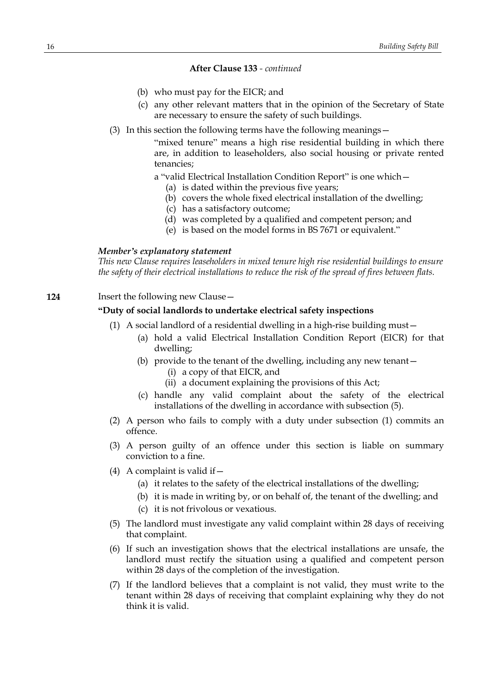- (b) who must pay for the EICR; and
- (c) any other relevant matters that in the opinion of the Secretary of State are necessary to ensure the safety of such buildings.
- (3) In this section the following terms have the following meanings—

"mixed tenure" means a high rise residential building in which there are, in addition to leaseholders, also social housing or private rented tenancies;

a "valid Electrical Installation Condition Report" is one which—

- (a) is dated within the previous five years;
- (b) covers the whole fixed electrical installation of the dwelling;
- (c) has a satisfactory outcome;
- (d) was completed by a qualified and competent person; and
- (e) is based on the model forms in BS 7671 or equivalent."

#### *Member's explanatory statement*

*This new Clause requires leaseholders in mixed tenure high rise residential buildings to ensure the safety of their electrical installations to reduce the risk of the spread of fires between flats.*

# **124** Insert the following new Clause—

### **"Duty of social landlords to undertake electrical safety inspections**

- (1) A social landlord of a residential dwelling in a high-rise building must—
	- (a) hold a valid Electrical Installation Condition Report (EICR) for that dwelling;
	- (b) provide to the tenant of the dwelling, including any new tenant— (i) a copy of that EICR, and
		- (ii) a document explaining the provisions of this Act;
	- (c) handle any valid complaint about the safety of the electrical installations of the dwelling in accordance with subsection (5).
- (2) A person who fails to comply with a duty under subsection (1) commits an offence.
- (3) A person guilty of an offence under this section is liable on summary conviction to a fine.
- (4) A complaint is valid if  $-$ 
	- (a) it relates to the safety of the electrical installations of the dwelling;
	- (b) it is made in writing by, or on behalf of, the tenant of the dwelling; and
	- (c) it is not frivolous or vexatious.
- (5) The landlord must investigate any valid complaint within 28 days of receiving that complaint.
- (6) If such an investigation shows that the electrical installations are unsafe, the landlord must rectify the situation using a qualified and competent person within 28 days of the completion of the investigation.
- (7) If the landlord believes that a complaint is not valid, they must write to the tenant within 28 days of receiving that complaint explaining why they do not think it is valid.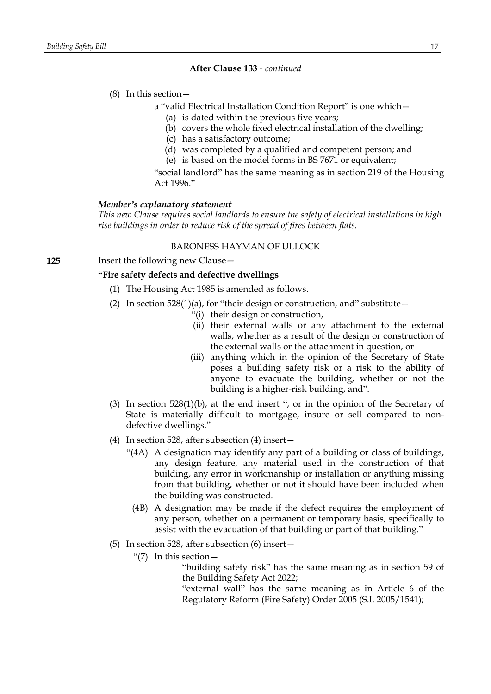#### (8) In this section—

- a "valid Electrical Installation Condition Report" is one which—
	- (a) is dated within the previous five years;
	- (b) covers the whole fixed electrical installation of the dwelling;
	- (c) has a satisfactory outcome;
	- (d) was completed by a qualified and competent person; and
	- (e) is based on the model forms in BS 7671 or equivalent;

"social landlord" has the same meaning as in section 219 of the Housing Act 1996."

#### *Member's explanatory statement*

*This new Clause requires social landlords to ensure the safety of electrical installations in high rise buildings in order to reduce risk of the spread of fires between flats.*

#### BARONESS HAYMAN OF ULLOCK

**125** Insert the following new Clause—

### **"Fire safety defects and defective dwellings**

- (1) The Housing Act 1985 is amended as follows.
- (2) In section  $528(1)(a)$ , for "their design or construction, and" substitute
	- "(i) their design or construction,
	- (ii) their external walls or any attachment to the external walls, whether as a result of the design or construction of the external walls or the attachment in question, or
	- (iii) anything which in the opinion of the Secretary of State poses a building safety risk or a risk to the ability of anyone to evacuate the building, whether or not the building is a higher-risk building, and".
- (3) In section 528(1)(b), at the end insert ", or in the opinion of the Secretary of State is materially difficult to mortgage, insure or sell compared to nondefective dwellings."
- (4) In section 528, after subsection (4) insert—
	- "(4A) A designation may identify any part of a building or class of buildings, any design feature, any material used in the construction of that building, any error in workmanship or installation or anything missing from that building, whether or not it should have been included when the building was constructed.
		- (4B) A designation may be made if the defect requires the employment of any person, whether on a permanent or temporary basis, specifically to assist with the evacuation of that building or part of that building."
- (5) In section 528, after subsection (6) insert—
	- "(7) In this section—

"building safety risk" has the same meaning as in section 59 of the Building Safety Act 2022;

"external wall" has the same meaning as in Article 6 of the Regulatory Reform (Fire Safety) Order 2005 (S.I. 2005/1541);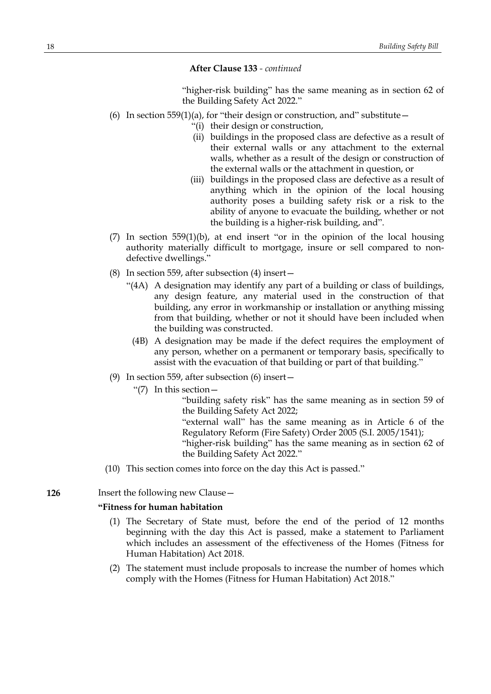"higher-risk building" has the same meaning as in section 62 of the Building Safety Act 2022."

- (6) In section 559(1)(a), for "their design or construction, and" substitute  $-$ 
	- "(i) their design or construction,
	- (ii) buildings in the proposed class are defective as a result of their external walls or any attachment to the external walls, whether as a result of the design or construction of the external walls or the attachment in question, or
	- (iii) buildings in the proposed class are defective as a result of anything which in the opinion of the local housing authority poses a building safety risk or a risk to the ability of anyone to evacuate the building, whether or not the building is a higher-risk building, and".
- (7) In section 559(1)(b), at end insert "or in the opinion of the local housing authority materially difficult to mortgage, insure or sell compared to nondefective dwellings."
- (8) In section 559, after subsection (4) insert—
	- "(4A) A designation may identify any part of a building or class of buildings, any design feature, any material used in the construction of that building, any error in workmanship or installation or anything missing from that building, whether or not it should have been included when the building was constructed.
		- (4B) A designation may be made if the defect requires the employment of any person, whether on a permanent or temporary basis, specifically to assist with the evacuation of that building or part of that building."
- (9) In section 559, after subsection (6) insert—
	- " $(7)$  In this section —

"building safety risk" has the same meaning as in section 59 of the Building Safety Act 2022;

"external wall" has the same meaning as in Article 6 of the Regulatory Reform (Fire Safety) Order 2005 (S.I. 2005/1541);

"higher-risk building" has the same meaning as in section 62 of the Building Safety Act 2022."

(10) This section comes into force on the day this Act is passed."

#### **126** Insert the following new Clause—

#### **"Fitness for human habitation**

- (1) The Secretary of State must, before the end of the period of 12 months beginning with the day this Act is passed, make a statement to Parliament which includes an assessment of the effectiveness of the Homes (Fitness for Human Habitation) Act 2018.
- (2) The statement must include proposals to increase the number of homes which comply with the Homes (Fitness for Human Habitation) Act 2018."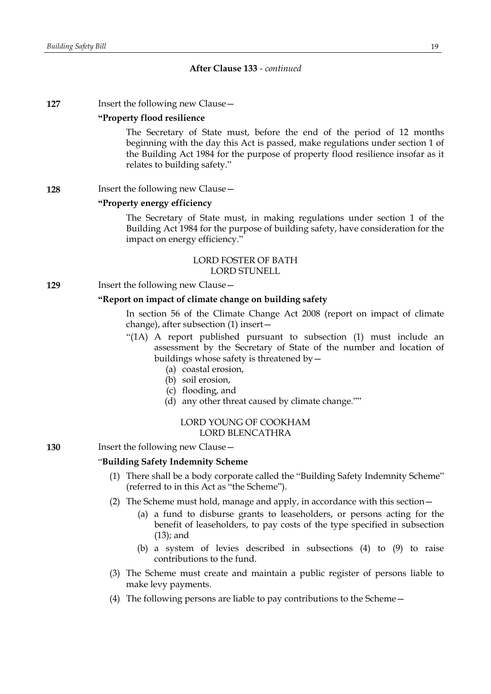**127** Insert the following new Clause -

#### **"Property flood resilience**

The Secretary of State must, before the end of the period of 12 months beginning with the day this Act is passed, make regulations under section 1 of the Building Act 1984 for the purpose of property flood resilience insofar as it relates to building safety."

#### **128** Insert the following new Clause –

#### **"Property energy efficiency**

The Secretary of State must, in making regulations under section 1 of the Building Act 1984 for the purpose of building safety, have consideration for the impact on energy efficiency."

#### LORD FOSTER OF BATH LORD STUNELL

**129** Insert the following new Clause -

#### **"Report on impact of climate change on building safety**

In section 56 of the Climate Change Act 2008 (report on impact of climate change), after subsection (1) insert—

- "(1A) A report published pursuant to subsection (1) must include an assessment by the Secretary of State of the number and location of buildings whose safety is threatened by—
	- (a) coastal erosion,
	- (b) soil erosion,
	- (c) flooding, and
	- (d) any other threat caused by climate change.""

### LORD YOUNG OF COOKHAM LORD BLENCATHRA

**130** Insert the following new Clause—

#### "**Building Safety Indemnity Scheme**

- (1) There shall be a body corporate called the "Building Safety Indemnity Scheme" (referred to in this Act as "the Scheme").
- (2) The Scheme must hold, manage and apply, in accordance with this section—
	- (a) a fund to disburse grants to leaseholders, or persons acting for the benefit of leaseholders, to pay costs of the type specified in subsection (13); and
	- (b) a system of levies described in subsections (4) to (9) to raise contributions to the fund.
- (3) The Scheme must create and maintain a public register of persons liable to make levy payments.
- (4) The following persons are liable to pay contributions to the Scheme—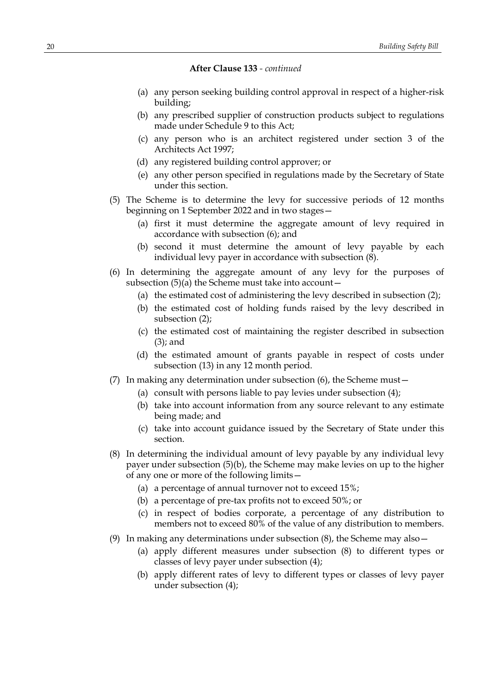- (a) any person seeking building control approval in respect of a higher-risk building;
- (b) any prescribed supplier of construction products subject to regulations made under Schedule 9 to this Act;
- (c) any person who is an architect registered under section 3 of the Architects Act 1997;
- (d) any registered building control approver; or
- (e) any other person specified in regulations made by the Secretary of State under this section.
- (5) The Scheme is to determine the levy for successive periods of 12 months beginning on 1 September 2022 and in two stages—
	- (a) first it must determine the aggregate amount of levy required in accordance with subsection (6); and
	- (b) second it must determine the amount of levy payable by each individual levy payer in accordance with subsection  $(8)$ .
- (6) In determining the aggregate amount of any levy for the purposes of subsection  $(5)(a)$  the Scheme must take into account  $-$ 
	- (a) the estimated cost of administering the levy described in subsection (2);
	- (b) the estimated cost of holding funds raised by the levy described in subsection (2);
	- (c) the estimated cost of maintaining the register described in subsection (3); and
	- (d) the estimated amount of grants payable in respect of costs under subsection (13) in any 12 month period.
- (7) In making any determination under subsection (6), the Scheme must—
	- (a) consult with persons liable to pay levies under subsection (4);
	- (b) take into account information from any source relevant to any estimate being made; and
	- (c) take into account guidance issued by the Secretary of State under this section.
- (8) In determining the individual amount of levy payable by any individual levy payer under subsection (5)(b), the Scheme may make levies on up to the higher of any one or more of the following limits—
	- (a) a percentage of annual turnover not to exceed 15%;
	- (b) a percentage of pre-tax profits not to exceed 50%; or
	- (c) in respect of bodies corporate, a percentage of any distribution to members not to exceed 80% of the value of any distribution to members.
- (9) In making any determinations under subsection  $(8)$ , the Scheme may also  $-$ 
	- (a) apply different measures under subsection (8) to different types or classes of levy payer under subsection (4);
	- (b) apply different rates of levy to different types or classes of levy payer under subsection (4);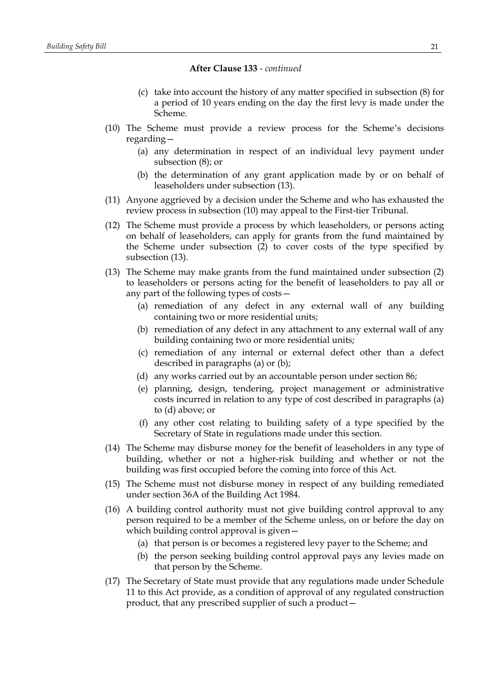- (c) take into account the history of any matter specified in subsection (8) for a period of 10 years ending on the day the first levy is made under the Scheme.
- (10) The Scheme must provide a review process for the Scheme's decisions regarding—
	- (a) any determination in respect of an individual levy payment under subsection (8); or
	- (b) the determination of any grant application made by or on behalf of leaseholders under subsection (13).
- (11) Anyone aggrieved by a decision under the Scheme and who has exhausted the review process in subsection (10) may appeal to the First-tier Tribunal.
- (12) The Scheme must provide a process by which leaseholders, or persons acting on behalf of leaseholders, can apply for grants from the fund maintained by the Scheme under subsection (2) to cover costs of the type specified by subsection (13).
- (13) The Scheme may make grants from the fund maintained under subsection (2) to leaseholders or persons acting for the benefit of leaseholders to pay all or any part of the following types of costs—
	- (a) remediation of any defect in any external wall of any building containing two or more residential units;
	- (b) remediation of any defect in any attachment to any external wall of any building containing two or more residential units;
	- (c) remediation of any internal or external defect other than a defect described in paragraphs (a) or (b);
	- (d) any works carried out by an accountable person under section 86;
	- (e) planning, design, tendering, project management or administrative costs incurred in relation to any type of cost described in paragraphs (a) to (d) above; or
	- (f) any other cost relating to building safety of a type specified by the Secretary of State in regulations made under this section.
- (14) The Scheme may disburse money for the benefit of leaseholders in any type of building, whether or not a higher-risk building and whether or not the building was first occupied before the coming into force of this Act.
- (15) The Scheme must not disburse money in respect of any building remediated under section 36A of the Building Act 1984.
- (16) A building control authority must not give building control approval to any person required to be a member of the Scheme unless, on or before the day on which building control approval is given—
	- (a) that person is or becomes a registered levy payer to the Scheme; and
	- (b) the person seeking building control approval pays any levies made on that person by the Scheme.
- (17) The Secretary of State must provide that any regulations made under Schedule 11 to this Act provide, as a condition of approval of any regulated construction product, that any prescribed supplier of such a product—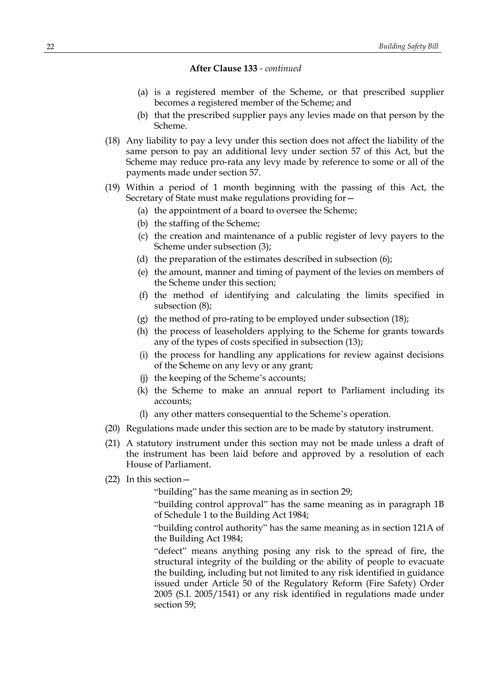- (a) is a registered member of the Scheme, or that prescribed supplier becomes a registered member of the Scheme; and
- (b) that the prescribed supplier pays any levies made on that person by the Scheme.
- (18) Any liability to pay a levy under this section does not affect the liability of the same person to pay an additional levy under section 57 of this Act, but the Scheme may reduce pro-rata any levy made by reference to some or all of the payments made under section 57.
- (19) Within a period of 1 month beginning with the passing of this Act, the Secretary of State must make regulations providing for—
	- (a) the appointment of a board to oversee the Scheme;
	- (b) the staffing of the Scheme;
	- (c) the creation and maintenance of a public register of levy payers to the Scheme under subsection (3);
	- (d) the preparation of the estimates described in subsection (6);
	- (e) the amount, manner and timing of payment of the levies on members of the Scheme under this section;
	- (f) the method of identifying and calculating the limits specified in subsection (8);
	- (g) the method of pro-rating to be employed under subsection (18);
	- (h) the process of leaseholders applying to the Scheme for grants towards any of the types of costs specified in subsection (13);
	- (i) the process for handling any applications for review against decisions of the Scheme on any levy or any grant;
	- (j) the keeping of the Scheme's accounts;
	- (k) the Scheme to make an annual report to Parliament including its accounts;
	- (l) any other matters consequential to the Scheme's operation.
- (20) Regulations made under this section are to be made by statutory instrument.
- (21) A statutory instrument under this section may not be made unless a draft of the instrument has been laid before and approved by a resolution of each House of Parliament.
- (22) In this section—

"building" has the same meaning as in section 29;

"building control approval" has the same meaning as in paragraph 1B of Schedule 1 to the Building Act 1984;

"building control authority" has the same meaning as in section 121A of the Building Act 1984;

"defect" means anything posing any risk to the spread of fire, the structural integrity of the building or the ability of people to evacuate the building, including but not limited to any risk identified in guidance issued under Article 50 of the Regulatory Reform (Fire Safety) Order 2005 (S.I. 2005/1541) or any risk identified in regulations made under section 59;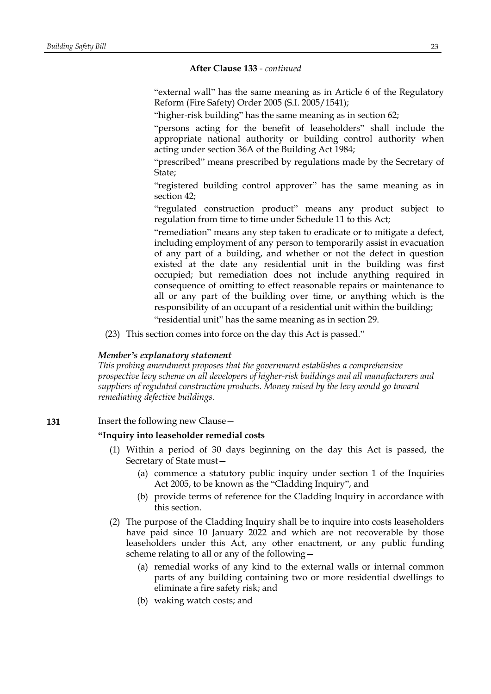"external wall" has the same meaning as in Article 6 of the Regulatory Reform (Fire Safety) Order 2005 (S.I. 2005/1541);

"higher-risk building" has the same meaning as in section 62;

"persons acting for the benefit of leaseholders" shall include the appropriate national authority or building control authority when acting under section 36A of the Building Act 1984;

"prescribed" means prescribed by regulations made by the Secretary of State;

"registered building control approver" has the same meaning as in section 42;

"regulated construction product" means any product subject to regulation from time to time under Schedule 11 to this Act;

"remediation" means any step taken to eradicate or to mitigate a defect, including employment of any person to temporarily assist in evacuation of any part of a building, and whether or not the defect in question existed at the date any residential unit in the building was first occupied; but remediation does not include anything required in consequence of omitting to effect reasonable repairs or maintenance to all or any part of the building over time, or anything which is the responsibility of an occupant of a residential unit within the building;

"residential unit" has the same meaning as in section 29.

(23) This section comes into force on the day this Act is passed."

#### *Member's explanatory statement*

*This probing amendment proposes that the government establishes a comprehensive prospective levy scheme on all developers of higher-risk buildings and all manufacturers and suppliers of regulated construction products. Money raised by the levy would go toward remediating defective buildings.*

**131** Insert the following new Clause—

#### **"Inquiry into leaseholder remedial costs**

- (1) Within a period of 30 days beginning on the day this Act is passed, the Secretary of State must—
	- (a) commence a statutory public inquiry under section 1 of the Inquiries Act 2005, to be known as the "Cladding Inquiry", and
	- (b) provide terms of reference for the Cladding Inquiry in accordance with this section.
- (2) The purpose of the Cladding Inquiry shall be to inquire into costs leaseholders have paid since 10 January 2022 and which are not recoverable by those leaseholders under this Act, any other enactment, or any public funding scheme relating to all or any of the following—
	- (a) remedial works of any kind to the external walls or internal common parts of any building containing two or more residential dwellings to eliminate a fire safety risk; and
	- (b) waking watch costs; and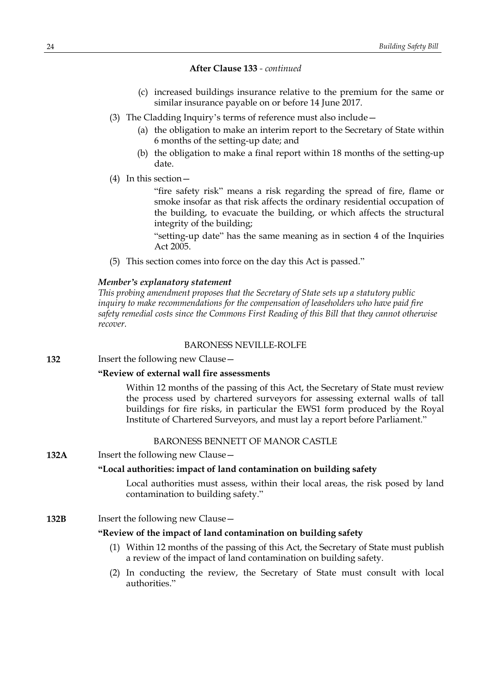- (c) increased buildings insurance relative to the premium for the same or similar insurance payable on or before 14 June 2017.
- (3) The Cladding Inquiry's terms of reference must also include—
	- (a) the obligation to make an interim report to the Secretary of State within 6 months of the setting-up date; and
	- (b) the obligation to make a final report within 18 months of the setting-up date.
- (4) In this section—

"fire safety risk" means a risk regarding the spread of fire, flame or smoke insofar as that risk affects the ordinary residential occupation of the building, to evacuate the building, or which affects the structural integrity of the building;

"setting-up date" has the same meaning as in section 4 of the Inquiries Act 2005.

(5) This section comes into force on the day this Act is passed."

### *Member's explanatory statement*

*This probing amendment proposes that the Secretary of State sets up a statutory public inquiry to make recommendations for the compensation of leaseholders who have paid fire safety remedial costs since the Commons First Reading of this Bill that they cannot otherwise recover.*

#### BARONESS NEVILLE-ROLFE

**132** Insert the following new Clause –

### **"Review of external wall fire assessments**

Within 12 months of the passing of this Act, the Secretary of State must review the process used by chartered surveyors for assessing external walls of tall buildings for fire risks, in particular the EWS1 form produced by the Royal Institute of Chartered Surveyors, and must lay a report before Parliament."

# BARONESS BENNETT OF MANOR CASTLE

**132A** Insert the following new Clause -

### **"Local authorities: impact of land contamination on building safety**

Local authorities must assess, within their local areas, the risk posed by land contamination to building safety."

# **132B** Insert the following new Clause—

#### **"Review of the impact of land contamination on building safety**

- (1) Within 12 months of the passing of this Act, the Secretary of State must publish a review of the impact of land contamination on building safety.
- (2) In conducting the review, the Secretary of State must consult with local authorities."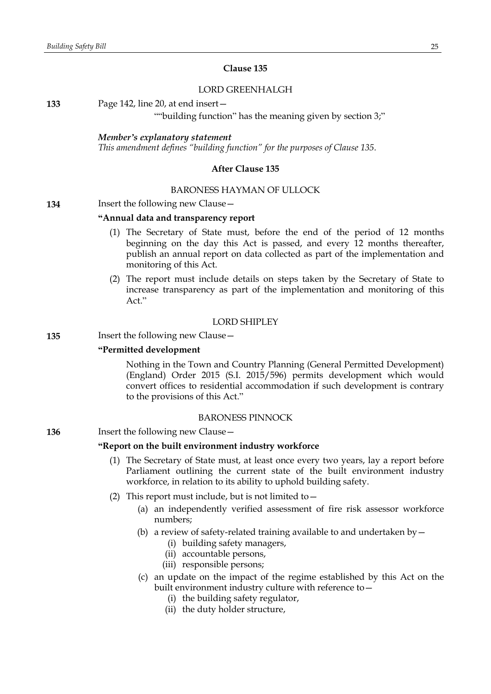#### **Clause 135**

#### LORD GREENHALGH

**133** Page 142, line 20, at end insert—

""building function" has the meaning given by section 3;"

#### *Member's explanatory statement*

*This amendment defines "building function" for the purposes of Clause 135.*

#### **After Clause 135**

#### BARONESS HAYMAN OF ULLOCK

### **134** Insert the following new Clause—

#### **"Annual data and transparency report**

- (1) The Secretary of State must, before the end of the period of 12 months beginning on the day this Act is passed, and every 12 months thereafter, publish an annual report on data collected as part of the implementation and monitoring of this Act.
- (2) The report must include details on steps taken by the Secretary of State to increase transparency as part of the implementation and monitoring of this Act."

# LORD SHIPLEY

### **135** Insert the following new Clause—

### **"Permitted development**

Nothing in the Town and Country Planning (General Permitted Development) (England) Order 2015 (S.I. 2015/596) permits development which would convert offices to residential accommodation if such development is contrary to the provisions of this Act."

#### BARONESS PINNOCK

#### **136** Insert the following new Clause -

#### **"Report on the built environment industry workforce**

- (1) The Secretary of State must, at least once every two years, lay a report before Parliament outlining the current state of the built environment industry workforce, in relation to its ability to uphold building safety.
- (2) This report must include, but is not limited to  $-$ 
	- (a) an independently verified assessment of fire risk assessor workforce numbers;
	- (b) a review of safety-related training available to and undertaken by  $-$ 
		- (i) building safety managers,
		- (ii) accountable persons,
		- (iii) responsible persons;
	- (c) an update on the impact of the regime established by this Act on the built environment industry culture with reference to—
		- (i) the building safety regulator,
		- (ii) the duty holder structure,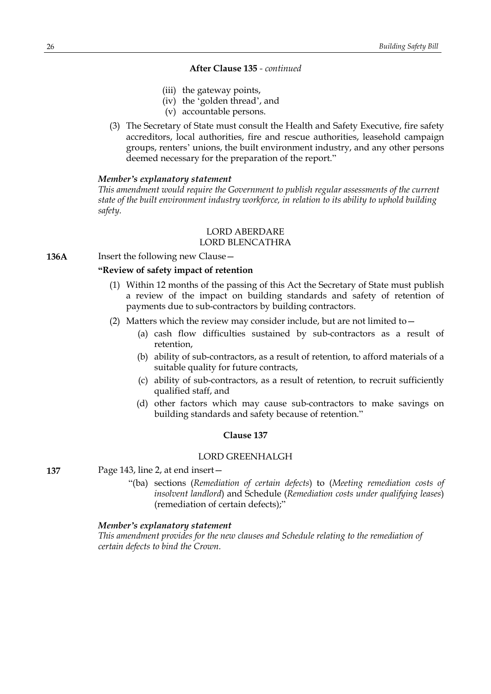- (iii) the gateway points,
- (iv) the 'golden thread', and
- (v) accountable persons.
- (3) The Secretary of State must consult the Health and Safety Executive, fire safety accreditors, local authorities, fire and rescue authorities, leasehold campaign groups, renters' unions, the built environment industry, and any other persons deemed necessary for the preparation of the report."

#### *Member's explanatory statement*

*This amendment would require the Government to publish regular assessments of the current state of the built environment industry workforce, in relation to its ability to uphold building safety.*

# LORD ABERDARE

# LORD BLENCATHRA

**136A** Insert the following new Clause –

### **"Review of safety impact of retention**

- (1) Within 12 months of the passing of this Act the Secretary of State must publish a review of the impact on building standards and safety of retention of payments due to sub-contractors by building contractors.
- (2) Matters which the review may consider include, but are not limited to  $-$ 
	- (a) cash flow difficulties sustained by sub-contractors as a result of retention,
	- (b) ability of sub-contractors, as a result of retention, to afford materials of a suitable quality for future contracts,
	- (c) ability of sub-contractors, as a result of retention, to recruit sufficiently qualified staff, and
	- (d) other factors which may cause sub-contractors to make savings on building standards and safety because of retention."

#### **Clause 137**

### LORD GREENHALGH

**137** Page 143, line 2, at end insert—

"(ba) sections (*Remediation of certain defects*) to (*Meeting remediation costs of insolvent landlord*) and Schedule (*Remediation costs under qualifying leases*) (remediation of certain defects);"

#### *Member's explanatory statement*

*This amendment provides for the new clauses and Schedule relating to the remediation of certain defects to bind the Crown.*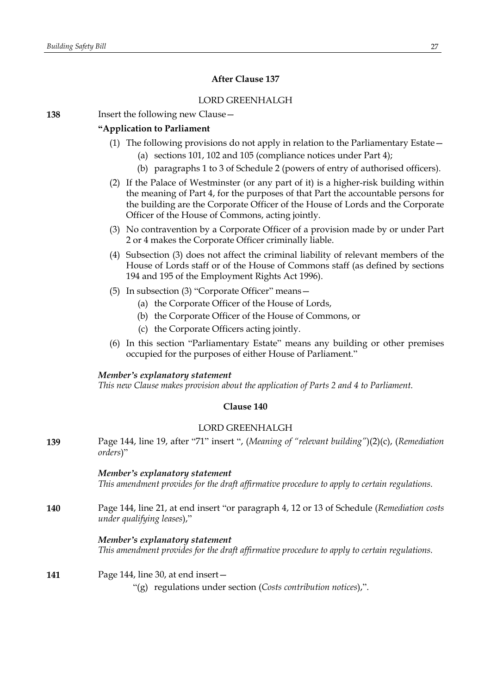# **After Clause 137**

# LORD GREENHALGH

**138** Insert the following new Clause—

# **"Application to Parliament**

- (1) The following provisions do not apply in relation to the Parliamentary Estate—
	- (a) sections 101, 102 and 105 (compliance notices under Part 4);
	- (b) paragraphs 1 to 3 of Schedule 2 (powers of entry of authorised officers).
- (2) If the Palace of Westminster (or any part of it) is a higher-risk building within the meaning of Part 4, for the purposes of that Part the accountable persons for the building are the Corporate Officer of the House of Lords and the Corporate Officer of the House of Commons, acting jointly.
- (3) No contravention by a Corporate Officer of a provision made by or under Part 2 or 4 makes the Corporate Officer criminally liable.
- (4) Subsection (3) does not affect the criminal liability of relevant members of the House of Lords staff or of the House of Commons staff (as defined by sections 194 and 195 of the Employment Rights Act 1996).
- (5) In subsection (3) "Corporate Officer" means—
	- (a) the Corporate Officer of the House of Lords,
	- (b) the Corporate Officer of the House of Commons, or
	- (c) the Corporate Officers acting jointly.
- (6) In this section "Parliamentary Estate" means any building or other premises occupied for the purposes of either House of Parliament."

# *Member's explanatory statement*

*This new Clause makes provision about the application of Parts 2 and 4 to Parliament.*

# **Clause 140**

### LORD GREENHALGH

**139** Page 144, line 19, after "71" insert ", (*Meaning of "relevant building"*)(2)(c), (*Remediation orders*)"

### *Member's explanatory statement*

*This amendment provides for the draft affirmative procedure to apply to certain regulations.*

**140** Page 144, line 21, at end insert "or paragraph 4, 12 or 13 of Schedule (*Remediation costs under qualifying leases*),"

# *Member's explanatory statement*

*This amendment provides for the draft affirmative procedure to apply to certain regulations.*

# **141** Page 144, line 30, at end insert—

"(g) regulations under section (*Costs contribution notices*),".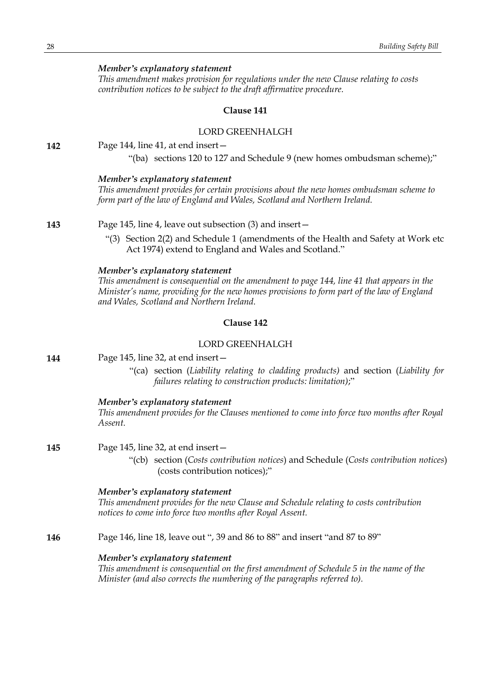### *Member's explanatory statement*

*This amendment makes provision for regulations under the new Clause relating to costs contribution notices to be subject to the draft affirmative procedure.*

#### **Clause 141**

#### LORD GREENHALGH

**142** Page 144, line 41, at end insert—

"(ba) sections 120 to 127 and Schedule 9 (new homes ombudsman scheme);"

#### *Member's explanatory statement*

*This amendment provides for certain provisions about the new homes ombudsman scheme to form part of the law of England and Wales, Scotland and Northern Ireland.*

**143** Page 145, line 4, leave out subsection (3) and insert—

"(3) Section 2(2) and Schedule 1 (amendments of the Health and Safety at Work etc Act 1974) extend to England and Wales and Scotland."

### *Member's explanatory statement*

*This amendment is consequential on the amendment to page 144, line 41 that appears in the Minister's name, providing for the new homes provisions to form part of the law of England and Wales, Scotland and Northern Ireland.*

# **Clause 142**

### LORD GREENHALGH

| 144 | Page 145, line 32, at end insert- |
|-----|-----------------------------------|
|-----|-----------------------------------|

"(ca) section (*Liability relating to cladding products)* and section (*Liability for failures relating to construction products: limitation)*;"

#### *Member's explanatory statement*

*This amendment provides for the Clauses mentioned to come into force two months after Royal Assent.*

**145** Page 145, line 32, at end insert—

"(cb) section (*Costs contribution notices*) and Schedule (*Costs contribution notices*) (costs contribution notices);"

#### *Member's explanatory statement*

*This amendment provides for the new Clause and Schedule relating to costs contribution notices to come into force two months after Royal Assent.*

**146** Page 146, line 18, leave out ", 39 and 86 to 88" and insert "and 87 to 89"

#### *Member's explanatory statement*

*This amendment is consequential on the first amendment of Schedule 5 in the name of the Minister (and also corrects the numbering of the paragraphs referred to).*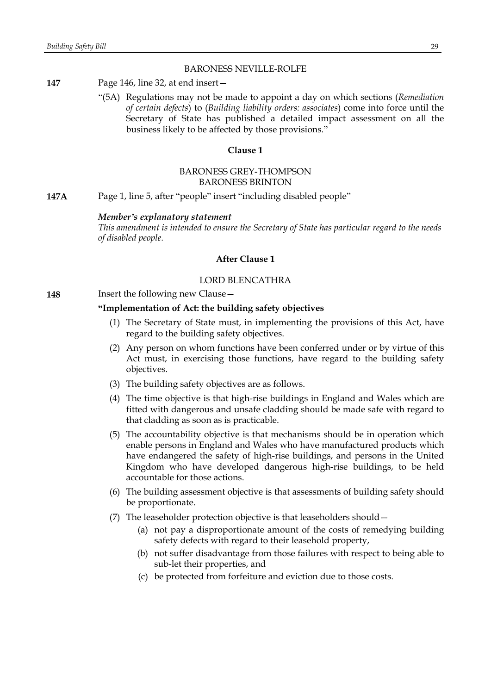#### BARONESS NEVILLE-ROLFE

- **147** Page 146, line 32, at end insert—
	- "(5A) Regulations may not be made to appoint a day on which sections (*Remediation of certain defects*) to (*Building liability orders: associates*) come into force until the Secretary of State has published a detailed impact assessment on all the business likely to be affected by those provisions."

#### **Clause 1**

### BARONESS GREY-THOMPSON BARONESS BRINTON

**147A** Page 1, line 5, after "people" insert "including disabled people"

#### *Member's explanatory statement*

*This amendment is intended to ensure the Secretary of State has particular regard to the needs of disabled people.*

### **After Clause 1**

### LORD BLENCATHRA

**148** Insert the following new Clause -

### **"Implementation of Act: the building safety objectives**

- (1) The Secretary of State must, in implementing the provisions of this Act, have regard to the building safety objectives.
- (2) Any person on whom functions have been conferred under or by virtue of this Act must, in exercising those functions, have regard to the building safety objectives.
- (3) The building safety objectives are as follows.
- (4) The time objective is that high-rise buildings in England and Wales which are fitted with dangerous and unsafe cladding should be made safe with regard to that cladding as soon as is practicable.
- (5) The accountability objective is that mechanisms should be in operation which enable persons in England and Wales who have manufactured products which have endangered the safety of high-rise buildings, and persons in the United Kingdom who have developed dangerous high-rise buildings, to be held accountable for those actions.
- (6) The building assessment objective is that assessments of building safety should be proportionate.
- (7) The leaseholder protection objective is that leaseholders should—
	- (a) not pay a disproportionate amount of the costs of remedying building safety defects with regard to their leasehold property,
	- (b) not suffer disadvantage from those failures with respect to being able to sub-let their properties, and
	- (c) be protected from forfeiture and eviction due to those costs.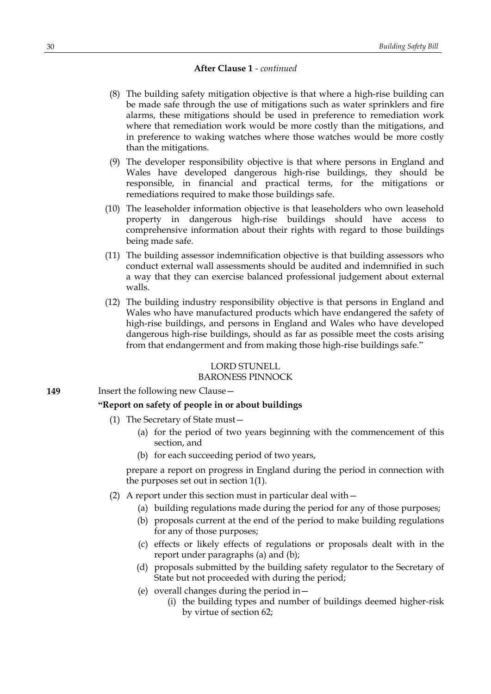- (8) The building safety mitigation objective is that where a high-rise building can be made safe through the use of mitigations such as water sprinklers and fire alarms, these mitigations should be used in preference to remediation work where that remediation work would be more costly than the mitigations, and in preference to waking watches where those watches would be more costly than the mitigations.
- (9) The developer responsibility objective is that where persons in England and Wales have developed dangerous high-rise buildings, they should be responsible, in financial and practical terms, for the mitigations or remediations required to make those buildings safe.
- (10) The leaseholder information objective is that leaseholders who own leasehold property in dangerous high-rise buildings should have access to comprehensive information about their rights with regard to those buildings being made safe.
- (11) The building assessor indemnification objective is that building assessors who conduct external wall assessments should be audited and indemnified in such a way that they can exercise balanced professional judgement about external walls.
- (12) The building industry responsibility objective is that persons in England and Wales who have manufactured products which have endangered the safety of high-rise buildings, and persons in England and Wales who have developed dangerous high-rise buildings, should as far as possible meet the costs arising from that endangerment and from making those high-rise buildings safe."

### LORD STUNELL

### BARONESS PINNOCK

**149** Insert the following new Clause –

# **"Report on safety of people in or about buildings**

- (1) The Secretary of State must—
	- (a) for the period of two years beginning with the commencement of this section, and
	- (b) for each succeeding period of two years,

prepare a report on progress in England during the period in connection with the purposes set out in section 1(1).

- (2) A report under this section must in particular deal with—
	- (a) building regulations made during the period for any of those purposes;
	- (b) proposals current at the end of the period to make building regulations for any of those purposes;
	- (c) effects or likely effects of regulations or proposals dealt with in the report under paragraphs (a) and (b);
	- (d) proposals submitted by the building safety regulator to the Secretary of State but not proceeded with during the period;
	- (e) overall changes during the period in—
		- (i) the building types and number of buildings deemed higher-risk by virtue of section 62;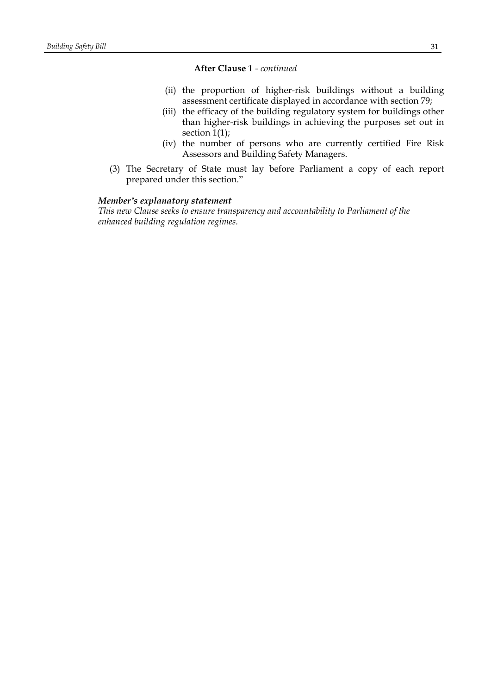- (ii) the proportion of higher-risk buildings without a building assessment certificate displayed in accordance with section 79;
- (iii) the efficacy of the building regulatory system for buildings other than higher-risk buildings in achieving the purposes set out in section 1(1);
- (iv) the number of persons who are currently certified Fire Risk Assessors and Building Safety Managers.
- (3) The Secretary of State must lay before Parliament a copy of each report prepared under this section."

#### *Member's explanatory statement*

*This new Clause seeks to ensure transparency and accountability to Parliament of the enhanced building regulation regimes.*